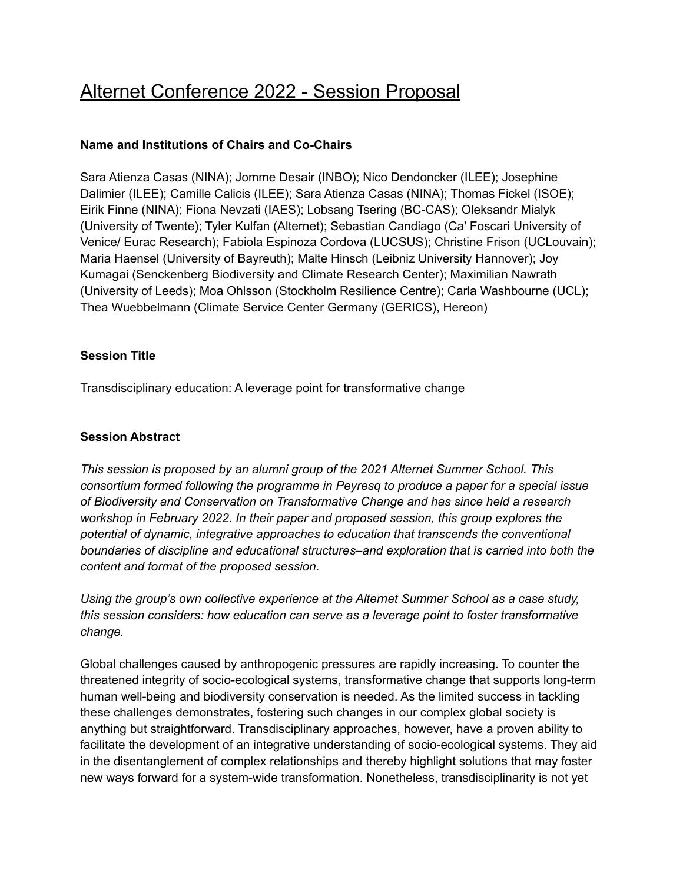# Alternet Conference 2022 - Session Proposal

## **Name and Institutions of Chairs and Co-Chairs**

Sara Atienza Casas (NINA); Jomme Desair (INBO); Nico Dendoncker (ILEE); Josephine Dalimier (ILEE); Camille Calicis (ILEE); Sara Atienza Casas (NINA); Thomas Fickel (ISOE); Eirik Finne (NINA); Fiona Nevzati (IAES); Lobsang Tsering (BC-CAS); Oleksandr Mialyk (University of Twente); Tyler Kulfan (Alternet); Sebastian Candiago (Ca' Foscari University of Venice/ Eurac Research); Fabiola Espinoza Cordova (LUCSUS); Christine Frison (UCLouvain); Maria Haensel (University of Bayreuth); Malte Hinsch (Leibniz University Hannover); Joy Kumagai (Senckenberg Biodiversity and Climate Research Center); Maximilian Nawrath (University of Leeds); Moa Ohlsson (Stockholm Resilience Centre); Carla Washbourne (UCL); Thea Wuebbelmann (Climate Service Center Germany (GERICS), Hereon)

## **Session Title**

Transdisciplinary education: A leverage point for transformative change

#### **Session Abstract**

*This session is proposed by an alumni group of the 2021 Alternet Summer School. This consortium formed following the programme in Peyresq to produce a paper for a special issue of Biodiversity and Conservation on Transformative Change and has since held a research workshop in February 2022. In their paper and proposed session, this group explores the potential of dynamic, integrative approaches to education that transcends the conventional boundaries of discipline and educational structures–and exploration that is carried into both the content and format of the proposed session.*

*Using the group's own collective experience at the Alternet Summer School as a case study, this session considers: how education can serve as a leverage point to foster transformative change.*

Global challenges caused by anthropogenic pressures are rapidly increasing. To counter the threatened integrity of socio-ecological systems, transformative change that supports long-term human well-being and biodiversity conservation is needed. As the limited success in tackling these challenges demonstrates, fostering such changes in our complex global society is anything but straightforward. Transdisciplinary approaches, however, have a proven ability to facilitate the development of an integrative understanding of socio-ecological systems. They aid in the disentanglement of complex relationships and thereby highlight solutions that may foster new ways forward for a system-wide transformation. Nonetheless, transdisciplinarity is not yet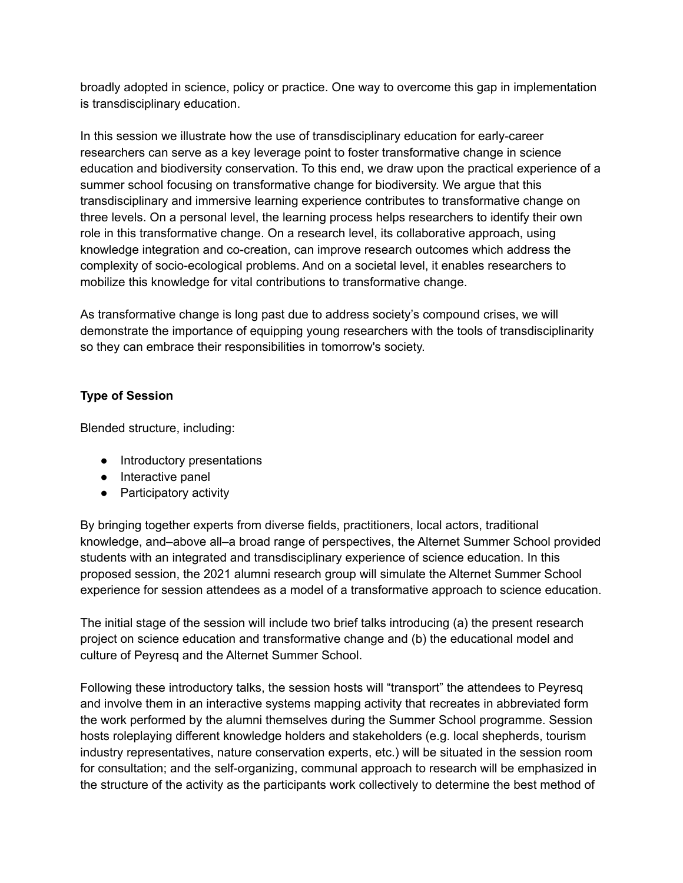broadly adopted in science, policy or practice. One way to overcome this gap in implementation is transdisciplinary education.

In this session we illustrate how the use of transdisciplinary education for early-career researchers can serve as a key leverage point to foster transformative change in science education and biodiversity conservation. To this end, we draw upon the practical experience of a summer school focusing on transformative change for biodiversity. We argue that this transdisciplinary and immersive learning experience contributes to transformative change on three levels. On a personal level, the learning process helps researchers to identify their own role in this transformative change. On a research level, its collaborative approach, using knowledge integration and co-creation, can improve research outcomes which address the complexity of socio-ecological problems. And on a societal level, it enables researchers to mobilize this knowledge for vital contributions to transformative change.

As transformative change is long past due to address society's compound crises, we will demonstrate the importance of equipping young researchers with the tools of transdisciplinarity so they can embrace their responsibilities in tomorrow's society.

## **Type of Session**

Blended structure, including:

- Introductory presentations
- Interactive panel
- Participatory activity

By bringing together experts from diverse fields, practitioners, local actors, traditional knowledge, and–above all–a broad range of perspectives, the Alternet Summer School provided students with an integrated and transdisciplinary experience of science education. In this proposed session, the 2021 alumni research group will simulate the Alternet Summer School experience for session attendees as a model of a transformative approach to science education.

The initial stage of the session will include two brief talks introducing (a) the present research project on science education and transformative change and (b) the educational model and culture of Peyresq and the Alternet Summer School.

Following these introductory talks, the session hosts will "transport" the attendees to Peyresq and involve them in an interactive systems mapping activity that recreates in abbreviated form the work performed by the alumni themselves during the Summer School programme. Session hosts roleplaying different knowledge holders and stakeholders (e.g. local shepherds, tourism industry representatives, nature conservation experts, etc.) will be situated in the session room for consultation; and the self-organizing, communal approach to research will be emphasized in the structure of the activity as the participants work collectively to determine the best method of